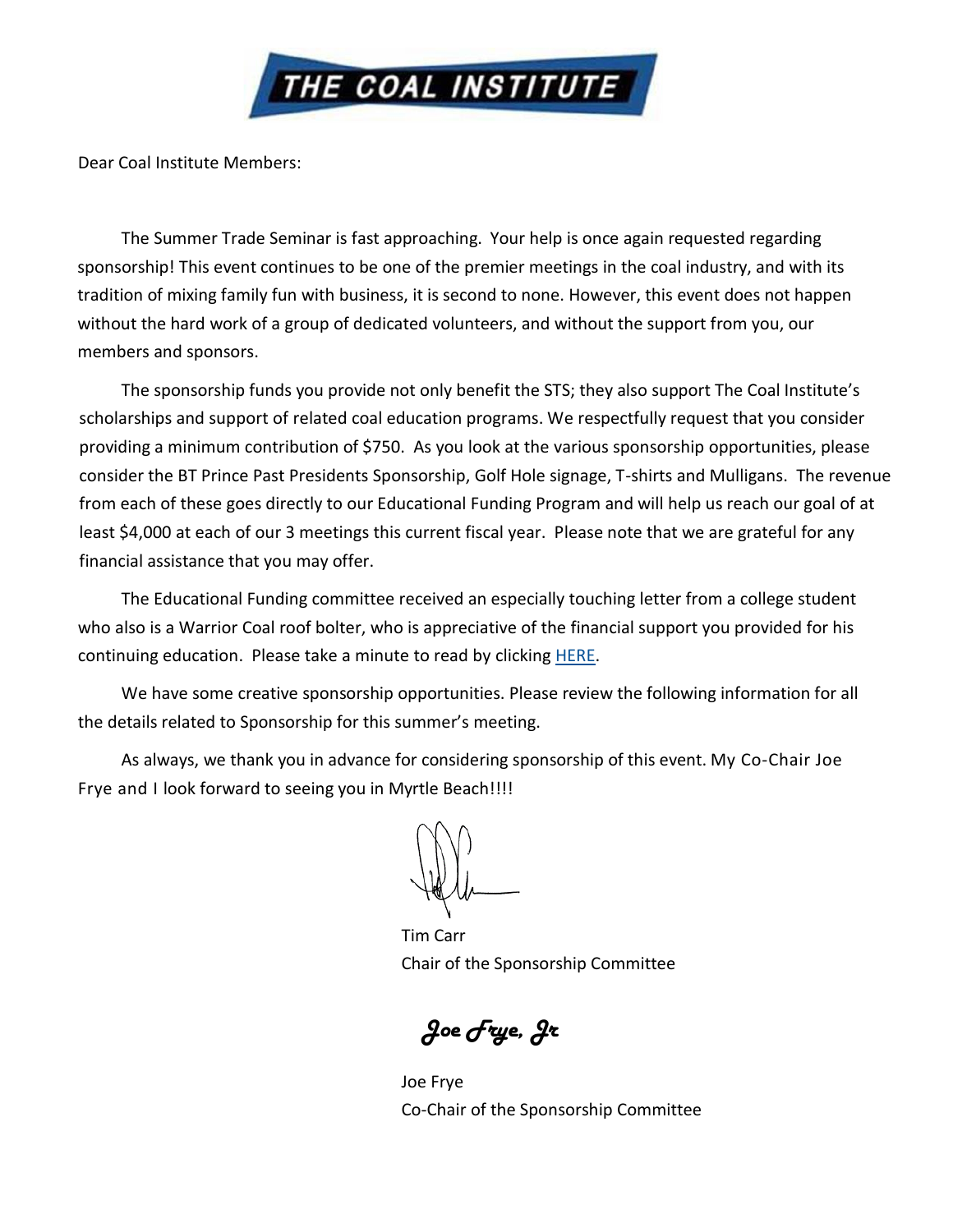

Dear Coal Institute Members:

The Summer Trade Seminar is fast approaching. Your help is once again requested regarding sponsorship! This event continues to be one of the premier meetings in the coal industry, and with its tradition of mixing family fun with business, it is second to none. However, this event does not happen without the hard work of a group of dedicated volunteers, and without the support from you, our members and sponsors.

The sponsorship funds you provide not only benefit the STS; they also support The Coal Institute's scholarships and support of related coal education programs. We respectfully request that you consider providing a minimum contribution of \$750. As you look at the various sponsorship opportunities, please consider the BT Prince Past Presidents Sponsorship, Golf Hole signage, T-shirts and Mulligans. The revenue from each of these goes directly to our Educational Funding Program and will help us reach our goal of at least \$4,000 at each of our 3 meetings this current fiscal year. Please note that we are grateful for any financial assistance that you may offer.

The Educational Funding committee received an especially touching letter from a college student who also is a Warrior Coal roof bolter, who is appreciative of the financial support you provided for his continuing education. Please take a minute to read by clicking **HERE**.

We have some creative sponsorship opportunities. Please review the following information for all the details related to Sponsorship for this summer's meeting.

As always, we thank you in advance for considering sponsorship of this event. My Co-Chair Joe Frye and I look forward to seeing you in Myrtle Beach!!!!

Tim Carr Chair of the Sponsorship Committee

*Joe Frye, Jr*

Joe Frye Co-Chair of the Sponsorship Committee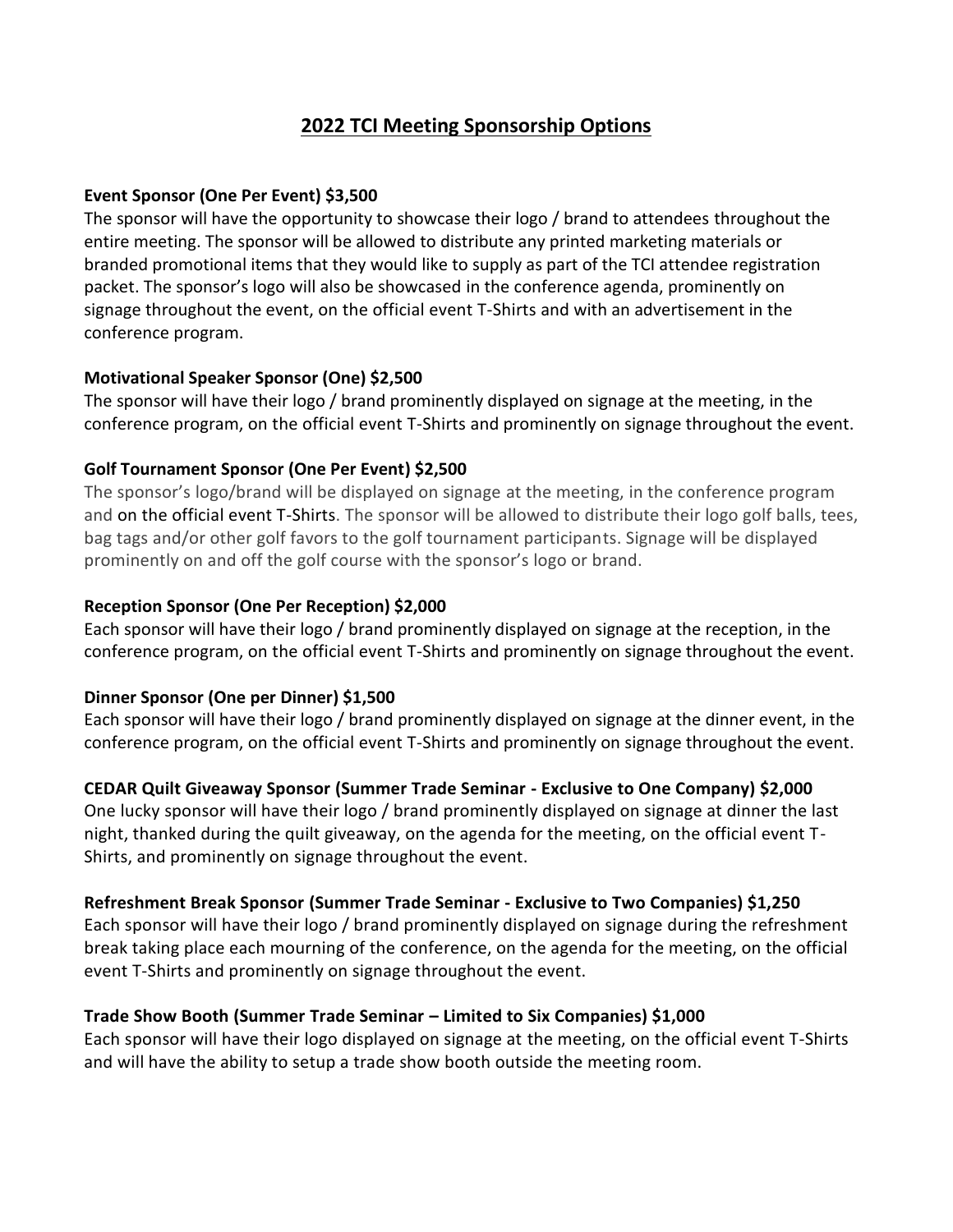# **2022 TCI Meeting Sponsorship Options**

## **Event Sponsor (One Per Event) \$3,500**

The sponsor will have the opportunity to showcase their logo / brand to attendees throughout the entire meeting. The sponsor will be allowed to distribute any printed marketing materials or branded promotional items that they would like to supply as part of the TCI attendee registration packet. The sponsor's logo will also be showcased in the conference agenda, prominently on signage throughout the event, on the official event T-Shirts and with an advertisement in the conference program.

#### **Motivational Speaker Sponsor (One) \$2,500**

The sponsor will have their logo / brand prominently displayed on signage at the meeting, in the conference program, on the official event T-Shirts and prominently on signage throughout the event.

#### **Golf Tournament Sponsor (One Per Event) \$2,500**

The sponsor's logo/brand will be displayed on signage at the meeting, in the conference program and on the official event T-Shirts. The sponsor will be allowed to distribute their logo golf balls, tees, bag tags and/or other golf favors to the golf tournament participants. Signage will be displayed prominently on and off the golf course with the sponsor's logo or brand.

#### **Reception Sponsor (One Per Reception) \$2,000**

Each sponsor will have their logo / brand prominently displayed on signage at the reception, in the conference program, on the official event T-Shirts and prominently on signage throughout the event.

## **Dinner Sponsor (One per Dinner) \$1,500**

Each sponsor will have their logo / brand prominently displayed on signage at the dinner event, in the conference program, on the official event T-Shirts and prominently on signage throughout the event.

## **CEDAR Quilt Giveaway Sponsor (Summer Trade Seminar - Exclusive to One Company) \$2,000**

One lucky sponsor will have their logo / brand prominently displayed on signage at dinner the last night, thanked during the quilt giveaway, on the agenda for the meeting, on the official event T-Shirts, and prominently on signage throughout the event.

## **Refreshment Break Sponsor (Summer Trade Seminar - Exclusive to Two Companies) \$1,250**

Each sponsor will have their logo / brand prominently displayed on signage during the refreshment break taking place each mourning of the conference, on the agenda for the meeting, on the official event T-Shirts and prominently on signage throughout the event.

## **Trade Show Booth (Summer Trade Seminar – Limited to Six Companies) \$1,000**

Each sponsor will have their logo displayed on signage at the meeting, on the official event T-Shirts and will have the ability to setup a trade show booth outside the meeting room.